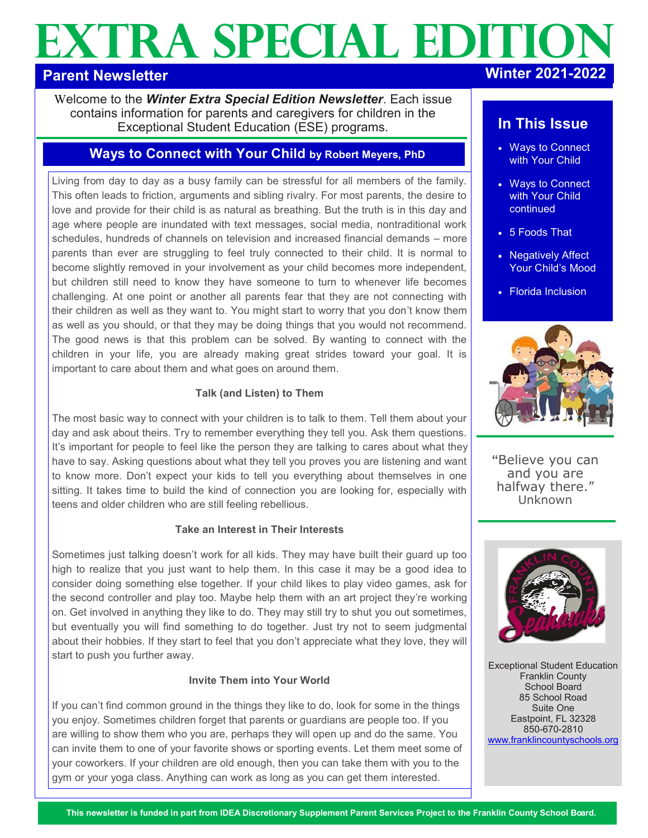# **EXTRA SPECIAL EDITION**

# **Parent Newsletter**

Welcome to the *Winter Extra Special Edition Newsletter*. Each issue contains information for parents and caregivers for children in the Exceptional Student Education (ESE) programs.

# **Ways to Connect with Your Child by Robert Meyers, PhD**

Living from day to day as a busy family can be stressful for all members of the family. This often leads to friction, arguments and sibling rivalry. For most parents, the desire to love and provide for their child is as natural as breathing. But the truth is in this day and age where people are inundated with text messages, social media, nontraditional work schedules, hundreds of channels on television and increased financial demands – more parents than ever are struggling to feel truly connected to their child. It is normal to become slightly removed in your involvement as your child becomes more independent, but children still need to know they have someone to turn to whenever life becomes challenging. At one point or another all parents fear that they are not connecting with their children as well as they want to. You might start to worry that you don't know them as well as you should, or that they may be doing things that you would not recommend. The good news is that this problem can be solved. By wanting to connect with the children in your life, you are already making great strides toward your goal. It is important to care about them and what goes on around them.

### **Talk (and Listen) to Them**

The most basic way to connect with your children is to talk to them. Tell them about your day and ask about theirs. Try to remember everything they tell you. Ask them questions. It's important for people to feel like the person they are talking to cares about what they have to say. Asking questions about what they tell you proves you are listening and want to know more. Don't expect your kids to tell you everything about themselves in one sitting. It takes time to build the kind of connection you are looking for, especially with teens and older children who are still feeling rebellious.

#### **Take an Interest in Their Interests**

Sometimes just talking doesn't work for all kids. They may have built their guard up too high to realize that you just want to help them. In this case it may be a good idea to consider doing something else together. If your child likes to play video games, ask for the second controller and play too. Maybe help them with an art project they're working on. Get involved in anything they like to do. They may still try to shut you out sometimes, but eventually you will find something to do together. Just try not to seem judgmental about their hobbies. If they start to feel that you don't appreciate what they love, they will start to push you further away.

#### **Invite Them into Your World**

If you can't find common ground in the things they like to do, look for some in the things you enjoy. Sometimes children forget that parents or guardians are people too. If you are willing to show them who you are, perhaps they will open up and do the same. You can invite them to one of your favorite shows or sporting events. Let them meet some of your coworkers. If your children are old enough, then you can take them with you to the gym or your yoga class. Anything can work as long as you can get them interested.

# **In This Issue**

- Ways to Connect with Your Child
- Ways to Connect with Your Child continued
- 5 Foods That
- Negatively Affect Your Child's Mood
- Florida Inclusion



**"**Believe you can and you are halfway there." Unknown



Exceptional Student Education Franklin County School Board 85 School Road Suite One Eastpoint, FL 32328 850-670-2810 [www.franklincountyschools.org](http://www.franklincountyschools.org)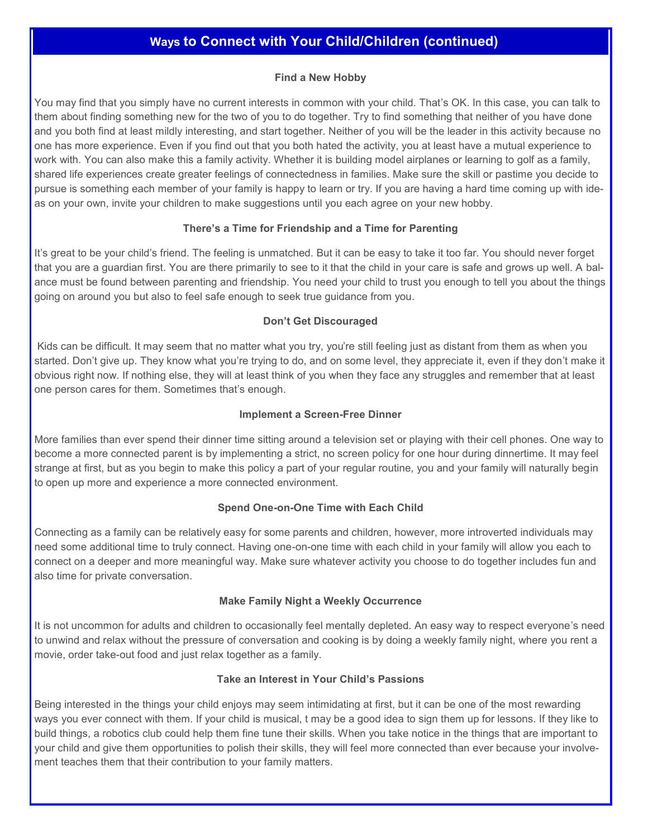## **Ways to Connect with Your Child/Children (continued)**

#### **Find a New Hobby**

You may find that you simply have no current interests in common with your child. That's OK. In this case, you can talk to them about finding something new for the two of you to do together. Try to find something that neither of you have done and you both find at least mildly interesting, and start together. Neither of you will be the leader in this activity because no one has more experience. Even if you find out that you both hated the activity, you at least have a mutual experience to work with. You can also make this a family activity. Whether it is building model airplanes or learning to golf as a family, shared life experiences create greater feelings of connectedness in families. Make sure the skill or pastime you decide to pursue is something each member of your family is happy to learn or try. If you are having a hard time coming up with ideas on your own, invite your children to make suggestions until you each agree on your new hobby.

#### **There's a Time for Friendship and a Time for Parenting**

It's great to be your child's friend. The feeling is unmatched. But it can be easy to take it too far. You should never forget that you are a guardian first. You are there primarily to see to it that the child in your care is safe and grows up well. A balance must be found between parenting and friendship. You need your child to trust you enough to tell you about the things going on around you but also to feel safe enough to seek true guidance from you.

#### **Don't Get Discouraged**

Kids can be difficult. It may seem that no matter what you try, you're still feeling just as distant from them as when you started. Don't give up. They know what you're trying to do, and on some level, they appreciate it, even if they don't make it obvious right now. If nothing else, they will at least think of you when they face any struggles and remember that at least one person cares for them. Sometimes that's enough.

#### **Implement a Screen-Free Dinner**

More families than ever spend their dinner time sitting around a television set or playing with their cell phones. One way to become a more connected parent is by implementing a strict, no screen policy for one hour during dinnertime. It may feel strange at first, but as you begin to make this policy a part of your regular routine, you and your family will naturally begin to open up more and experience a more connected environment.

#### **Spend One-on-One Time with Each Child**

Connecting as a family can be relatively easy for some parents and children, however, more introverted individuals may need some additional time to truly connect. Having one-on-one time with each child in your family will allow you each to connect on a deeper and more meaningful way. Make sure whatever activity you choose to do together includes fun and also time for private conversation.

#### **Make Family Night a Weekly Occurrence**

It is not uncommon for adults and children to occasionally feel mentally depleted. An easy way to respect everyone's need to unwind and relax without the pressure of conversation and cooking is by doing a weekly family night, where you rent a movie, order take-out food and just relax together as a family.

#### **Take an Interest in Your Child's Passions**

Being interested in the things your child enjoys may seem intimidating at first, but it can be one of the most rewarding ways you ever connect with them. If your child is musical, t may be a good idea to sign them up for lessons. If they like to build things, a robotics club could help them fine tune their skills. When you take notice in the things that are important to your child and give them opportunities to polish their skills, they will feel more connected than ever because your involvement teaches them that their contribution to your family matters.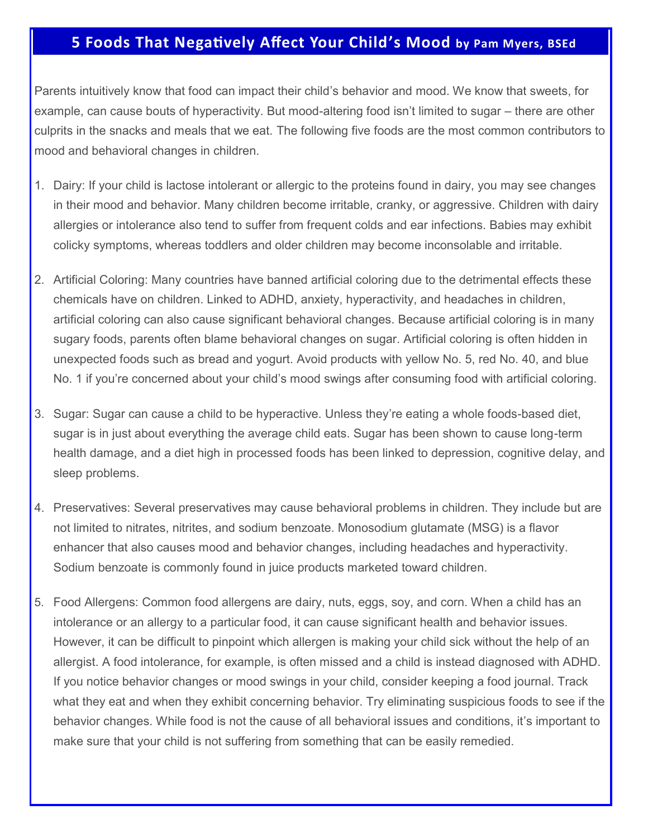# **5 Foods That Negatively Affect Your Child's Mood by Pam Myers, BSEd**

Parents intuitively know that food can impact their child's behavior and mood. We know that sweets, for example, can cause bouts of hyperactivity. But mood-altering food isn't limited to sugar – there are other culprits in the snacks and meals that we eat. The following five foods are the most common contributors to mood and behavioral changes in children.

- 1. Dairy: If your child is lactose intolerant or allergic to the proteins found in dairy, you may see changes in their mood and behavior. Many children become irritable, cranky, or aggressive. Children with dairy allergies or intolerance also tend to suffer from frequent colds and ear infections. Babies may exhibit colicky symptoms, whereas toddlers and older children may become inconsolable and irritable.
- 2. Artificial Coloring: Many countries have banned artificial coloring due to the detrimental effects these chemicals have on children. Linked to ADHD, anxiety, hyperactivity, and headaches in children, artificial coloring can also cause significant behavioral changes. Because artificial coloring is in many sugary foods, parents often blame behavioral changes on sugar. Artificial coloring is often hidden in unexpected foods such as bread and yogurt. Avoid products with yellow No. 5, red No. 40, and blue No. 1 if you're concerned about your child's mood swings after consuming food with artificial coloring.
- 3. Sugar: Sugar can cause a child to be hyperactive. Unless they're eating a whole foods-based diet, sugar is in just about everything the average child eats. Sugar has been shown to cause long-term health damage, and a diet high in processed foods has been linked to depression, cognitive delay, and sleep problems.
- 4. Preservatives: Several preservatives may cause behavioral problems in children. They include but are not limited to nitrates, nitrites, and sodium benzoate. Monosodium glutamate (MSG) is a flavor enhancer that also causes mood and behavior changes, including headaches and hyperactivity. Sodium benzoate is commonly found in juice products marketed toward children.
- 5. Food Allergens: Common food allergens are dairy, nuts, eggs, soy, and corn. When a child has an intolerance or an allergy to a particular food, it can cause significant health and behavior issues. However, it can be difficult to pinpoint which allergen is making your child sick without the help of an allergist. A food intolerance, for example, is often missed and a child is instead diagnosed with ADHD. If you notice behavior changes or mood swings in your child, consider keeping a food journal. Track what they eat and when they exhibit concerning behavior. Try eliminating suspicious foods to see if the behavior changes. While food is not the cause of all behavioral issues and conditions, it's important to make sure that your child is not suffering from something that can be easily remedied.